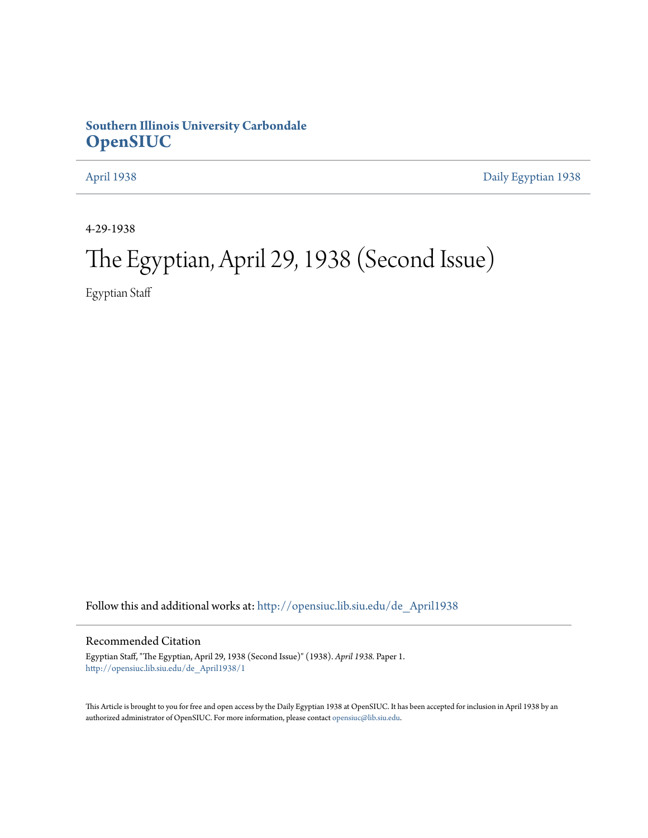# **Southern Illinois University Carbondale [OpenSIUC](http://opensiuc.lib.siu.edu?utm_source=opensiuc.lib.siu.edu%2Fde_April1938%2F1&utm_medium=PDF&utm_campaign=PDFCoverPages)**

[April 1938](http://opensiuc.lib.siu.edu/de_April1938?utm_source=opensiuc.lib.siu.edu%2Fde_April1938%2F1&utm_medium=PDF&utm_campaign=PDFCoverPages) [Daily Egyptian 1938](http://opensiuc.lib.siu.edu/de_1938?utm_source=opensiuc.lib.siu.edu%2Fde_April1938%2F1&utm_medium=PDF&utm_campaign=PDFCoverPages)

4-29-1938

# The Egyptian, April 29, 1938 (Second Issue)

Egyptian Staff

Follow this and additional works at: [http://opensiuc.lib.siu.edu/de\\_April1938](http://opensiuc.lib.siu.edu/de_April1938?utm_source=opensiuc.lib.siu.edu%2Fde_April1938%2F1&utm_medium=PDF&utm_campaign=PDFCoverPages)

## Recommended Citation

Egyptian Staff, "The Egyptian, April 29, 1938 (Second Issue)" (1938). *April 1938.* Paper 1. [http://opensiuc.lib.siu.edu/de\\_April1938/1](http://opensiuc.lib.siu.edu/de_April1938/1?utm_source=opensiuc.lib.siu.edu%2Fde_April1938%2F1&utm_medium=PDF&utm_campaign=PDFCoverPages)

This Article is brought to you for free and open access by the Daily Egyptian 1938 at OpenSIUC. It has been accepted for inclusion in April 1938 by an authorized administrator of OpenSIUC. For more information, please contact [opensiuc@lib.siu.edu](mailto:opensiuc@lib.siu.edu).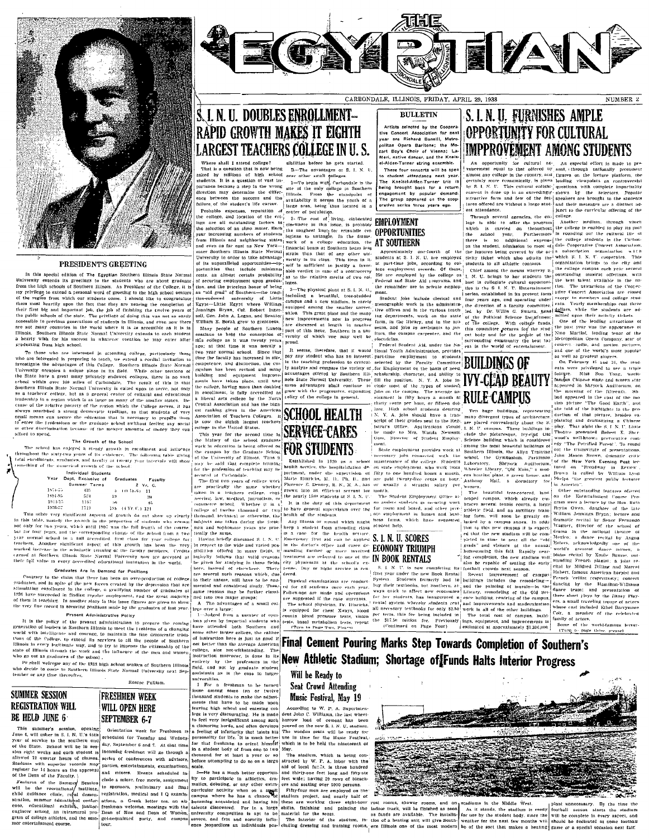

## PRESIDENT'S GREETING

In this special edition of The Egyptian Southers Illinois State Normal niversity extends its greetings to the students who are about graduate<br>om the high schools of Southern Hilnois. As President of the College, it is iny privilege to extend a personal word of greeting to the high school seniors region from which our students come. I should like to congratulate tion-ende at hourtily upon the fact that they are pearing the completion of most neartly upon the fact they be the following the complete fitting that first big and important job, the job of fitting the two-by periodic social of the state. The privilege of doing this was not as stalled to previou en Illinois State Normal University extends to each stud wish for his success in whatever vocation he may enter rting from high school.

who are interested in attending college, particularly ested in preparing to teach, we extend a cordial invitation is estigate the advantages of this College. Southern Illinois State Normal ity occupies a unfour place in its field While other sections a he State have a great many privately endowed colleges, there is no<br>about within over 100 million of Corbonable - The result of this is building of Carbondale D mines or car.<br>Normal University a general c region which is as large as many of the smaller states. Be-<br>ative poverty of the region which the College serves, it has hed a strong democratic tradition, so that students ill means can secure the education that is necessary to prepare then<br>nier the frofessions or the graduate school swithout feeling any social discrimination because of the m-**SHIP ROOMER of Money** fford to spend.

### Growth of the Schoo

The school has enjoyed a steady growth in enrollment as sughout the staty-two years of its existence. The following eoffisears

| Year         | Individual Students<br>Dept. Exclusive of |     | Graduates<br>Faculty      |  |
|--------------|-------------------------------------------|-----|---------------------------|--|
| Summer Terms |                                           |     | 2 Yr. C.                  |  |
| 1874-75      | 435                                       | ь   | 100, 13, 61, 11           |  |
| 1851-95      | 524                                       | 19  | 20                        |  |
| 1811-15      | 1157                                      | 56  | 45                        |  |
| 1936-07      | 1719                                      | 188 | $(4 \text{ Yr}, C_2)$ 124 |  |

in this table, namely the growth in the proportion of students who es consider the property material properties and the properties of the course, and the course, and the course, which until pure was the full imagin of the course, and the corresponding relations of the achieval for four ye erease in the scholastic training of the faculty members. Crease in the scholastic training of the faculty members. Crease Southern Illinois State Normal University now are accepted value in every accredited educational in Credit

Graduates Are In Demand for Positions

trary to the claim that there has been an over-production w forces created by the depression that a entollment in the college, a gratifying number of graduates succeeded in finding regular employment, and the great ma-In another story in this issue figures the very fine record in securing positions made by the gradi

## Present Administrative Policy

policy of the present administration to prepare the coming<br>leaders in Southern Illinois to meet the Froblems of a changing i leaders in Soutnern Hilnois to meet the Froblems of a changing<br>intriligence and courage, to maintain the fine democratic trady to extend its services to all the neonle of Sontha ly legitimate way, and to try to improve the citiz through the work and the influence of the men and wome to out as graduates of the school.

shull welcope any of the 1933 high school sentors of Southern Illinois<br>ecide to come to Southern Illinois State Normal University next Sep<br>it or any time thereafter,

**SUMMER SESSION** 

**BE HELD JUNE 6:** 

**REGISTRATION WILL** 

summer's session,

 $opentnz$ will usher in S. I. N. U.'s 65th of service to the southern end year of service to ine sources or any day, September 6 and 7. At that time<br>of the State. School will be in see-<br> $\frac{1}{2}$  and each student is lincoming freshmen will go through a<br>showed 12 querter hours of chases, neries o hours on the approval and mixers. Events scheduled in

211121 **GI** NUMBER 2

CARBONDALE, ILLINOIS, FRIDAY, APRIL 29, 1938

## **BULLETIN**

Artists selected by the Coopera-<br>ve Concert Association for next<br>ear are Richard Bonelll, Metro-Oners Raritone: the Mc eative doncas and the Kneis en-Turner string ensemble.

These four concerts will be oper student attendance next year The Knelsel-Alden-Turner trio () being brought back for a retu ig brought back for a return<br>agement by popular demand<br>: group appeared on the coop<br>tive series three years ago.

**Example 20** and the students of the students at S. I. N. U. are employed at part-time jobs, according to college employed legs employed by the college on  $P$  . Pederal and State Ald programma, and the sensitive rest of th the remainder are in private employ- ties is ment.

Student tobs include clerical and stenographic work in the administraoffices and in the various teach and jobs as assistants to jan-<br>the campus carpenter, and the electrician

- carry cents per noar, or niceen done.<br>
Tars. High school students desiring<br>
IN, Y. A. jobs should have a transitional series istrar's Office

be made  $\dddot{\cdots}$ ment.<br>Blute employment pro

**EXERCISE LATE CONSULTED** Converting points provides work at gouthern Blinds, the Allyn Training out the trumwirate of presentations.<br>
Established in 1920 as a school manifestation of the college. Students Laboratory, Shr

A an appendix in a set of  $M$ , and  $M$  and  $M$  and  $M$  and  $M$  and  $M$  are  $M$  and  $M$  and  $M$  are  $M$  and  $M$  and  $M$  and  $M$  are  $M$  and  $M$  and  $M$  and  $M$  and  $M$  and  $M$  and  $M$  and  $M$  and  $M$  and  $M$  and  $M$  and  $M$ er es ununeu a.<br>ent attendance

S.I.N.U. FURNISHES AMPLE

**OPPORTUNITY FOR CULTURAL** 

IMPPROVEMENT AMONG STUDENTS

In a triendance.<br>
In the students and their message students and their messages are a distributed of Through several agencies, the control of the curricular offering of the race local control of the properties of the prop .<br>tich 

of the Political Science Detartment

grads" and visitors at the nunual homecoming this fall. Rapidly near-

all necessary revisions on the property with the main of the contract of the perfect of the perfect of the S17.50 (ultimated on Prace Previously jings, equipment, and improvements is (Continued on Page Four) estimated at a

orm ative Concert Association are close except to members and college Yearly memberships cost the

dollars, while the tied upon their activity One of the leading One of the leading attractions of<br>the past year was the appearance of<br>Nino Martini, leading tenor of the<br>Metropolitan Opera Company, star of

duction of that picture, hesides ex-Chinese That plant the S. I. N.

Enters, acknowledgedly world's greatest  $d_{\rm AHC}$ IN SUOIN RENTALS This comptetion, the average over the properties, the condition of the second term in the SUA comptetion, the average of eachim will bundle receive believ from the left of the second term in the left of t

# Final Cement Pouring Marks Step Towards Completion of Southern's New Athletic Stadium; Shortage of Funds Halts Interior Progress

## Will be Ready to Seat Crowd Attending Music Festival, May 19

According to W. P. A. Superintenent John C. Williams, the last wheel harrow load of cement has been<br>poured on the new S. 1. N. U, stadinm. The wooden seats will be ready to use in time for the Music Festival. which is to be held the nineteenth of

.....<br>The **Afailtern** structed by W. P. A. Inbor with the<br>aid of local funds, is three hundred<br>and thirty-one feet long and fifty-six

feet wide; having 20 rows of bles ers and seating over 5000 persons<br>Fifty-four men are employed on stadium project, and nearly working three

indicate that will be finished as soon<br>as funds are available. The installation of a heating unit will give South-As it stands, the stadium is ready<br>for use by the student body, since the weather for the next few months will one of the most modern he of the sort that

plant unnecessary. By the .<br>football season starts the will be complete in every aspect, and should be dedicated at som

entral Association and has the first ranking given in the Ameri<br>Sassociation of Teachers Colleges.<br>8 now the eighth largest teach<br>ollege in the United States. This year for the second time in The history of the school graduate<br>reach be campus by the Graduate School<br>the campus by the Graduate School<br>of the University of Illinois, Tims it<br>may be said that complete training<br>of the profession of teaching may be<br>ex

The first two years of college work<br>The first two years of college work<br>re practically the same whether in a teachers college, engilaw, medical, **Whathe** of twelve then

Having by

William E. Borah grew

sthillities offered in many fields, a follows that valid creason Jogica Hy be given for studying in here, lustead of **olsowhore** Ther re several such reasons which nature, will have<br>and considered sti

 $s$ ingly. be further class led into two major groups The advantages of a small col

other larger enture. ege size not withstanding.<br>Faction moreover, is done in its professors in the

mdversities. For a freshman to be turne omoug some ten

clamoring horde, and often develops feeling of inferiority that tuints his personality for life for that freshman to in a student hody of fe

much better opportun ity to participate in athletics, dradebating, or any other extracorricular activity when on a<br>campus where he has a char on a spoell<br>chance™nt becoming acquainted and having his these and<br>talents discovered. For in a large shifts, f accombing sequenting and narring any lives are worsather distinct the distinct distinct distinct distinct the distinct of the sequence of the sequence of the sequence of the sequence of the sequence of the sequence of the talenta



SEPTEMBER 6-7 Orientation week for Preshmen scheduled for Taesday and Wedne. day, September 6 and 7. At that time

register for a non-<br>non-proposed perfect of the December of the December of the December of the Seculty.<br>
Features of the Seculty performance of the Security of the neuron of the recent man,<br>
will be the recent man  $\beta$  i

## Roscoe Pulliam. **FRESHMEN WEEK** WILL OPEN HERE

.<br>ver a large ous given by impartial students attended both Southern

respect to the wide and varied por

ield, and not by graduate studen<br>aststants as is the case in large

loose among some ten or twelve<br>thousand students to make the adjust-<br>ments that have to be made upon<br>leaving high school and entering col-<br>lege is very discouraging. He is made<br>to feel very insignificant among such

ورا ...

# **LARIMENTERS** IS CONDITION IN THE CALIFORED IN THE CALIFORNIA THE CONDUCT THE CALIFORNIA CONDUCT THE ART SOLUTION IS the stated by millions of https://www.community.community.community.community.community.community.commun

tion, and the priceless honor of being<br>an "old grad" of Southern-the tradi- $3$ -The physical plant of  $8 + 8$  H. of Southern-the tradi-<br> $\left|\begin{array}{ccc}\n\text{and } & \text{or} & \text{or} & \text{for} & \text{or} & \text{for} & \text{or} & \text{or} \\
\text{iniversity} & \text{of} & \text{Little} & \text{no} & \text{beufiful}, & \text{reesufuldel}, \\
\text{Eqypl} & \text{where } & \text{William} & \text{equipped} & \text{no} & \text{soufillell} & \text{reseufid} \\
\text{Eqypl} & \text{where } & \text{William} & \text{equipped among the smaller inverse.}\n\end{array}\right|$ Egypt-Little Egypt where William *ry* where w*imam*<br>Col Robert Inser. " equipped annong the smaller univer-<br>"1" sitica. This great plan and the many<br> $\frac{\text{or}}{\text{or}}$  hew improvements now in progress<br> $\frac{\text{a}}{\text{a}}$ , are discussed at length in another<br> $\frac{\text{or}}{\text{or}}$  here discussed at length in a Many people of Southern Linnois continue to hold the conception of proud.

this college as it was twenty eventy<br>each condition of the state of the condition of two<br>two year normal school. Since that<br>the the faculty has increased in size,<br>competence, and distinction, the cur-<br>riculum has been revi g and equipment improve<br>have taken place, until now college, having more than doubler enrollment, is fully accredited as liberal arts college by the Nort<br>entral Association and has the big. North

|SCHOOL HEALTH **SERVICE CARES** 

**FOR STUDENTS** 

exam of the students of wood which high these functions which have a student from attention case of the bould be the student help.<br>  $\mathbf{B} = \mathbf{B}$  and student from attention case of the bould be student in the student of treatment are referred to one of the<br>rity physicians at the school's ex-

Day or hight service is ren .<br>Jered Physical aations are conduct-

tel for all students once each year.<br>Follow-ups are made and operations re suggested if the case warrants

re suggested it the case warrants.<br>The school physician, Dr. Hinrichs.<br>a regulped for chest X-rays, blood<br>ounts. blood pressure tests, viston<br>rets, basal metatbolism tests, repeat<br>"Turn to Page Two, Pienes!

particles. In the D. Ph, D., and one wouldly a stratent contribution of the heattful trees, such as a stratent served in the metric of the stratent serves and the property of the property of the property of the property o

# on the student, aumission to most on the state of the factors being covered by the n-1 a subserption<br>tivity ticket which also admits the which S. I. N.<br>students to all athletic contests. The premisation brian ivity ticket which also adiatis the **Which S. I. N. V.** cooperates. This can take the context of all athletic concess.  $\frac{1}{2}$  of the college campus each year series can the means whereby s. the college campus each year best in collegiate cultural opportuni- the ties is the S I. N. U. Entertainment tion

of the countier pecures for the studies change that body and for the pecules of the surrounding community tipe best tal-<br>ent in the world of entertainment.

**Example 1.** Petersi Student Aid, under the Na-<br>
The second Student Aid, under the Na-<br>
The second to students<br>
The second to student and your student who has an interest: rart-dime employment to students<br>
in the second o

The campus. The average and the **Hollow Comparison** of the function of the function of the function of the function of the function of the function of the priori<br>centra for both statements are hard and the statement of th

Anthony radius. The beautiful tendence of the content of the same of the content of the same of content of the content of the content of the same of the same of the content of the same of the same of the same in the same athletic field, and an auxiliary trans-<br>|William Jennings Bryan; heture and large farm, will soon be greatly en-<br>|arged by a campus annex. In addi-|warmatic recital by Senor Fernando<br>|time to this tew compute it is expect ing completion, the new studium will; binne recital by Emile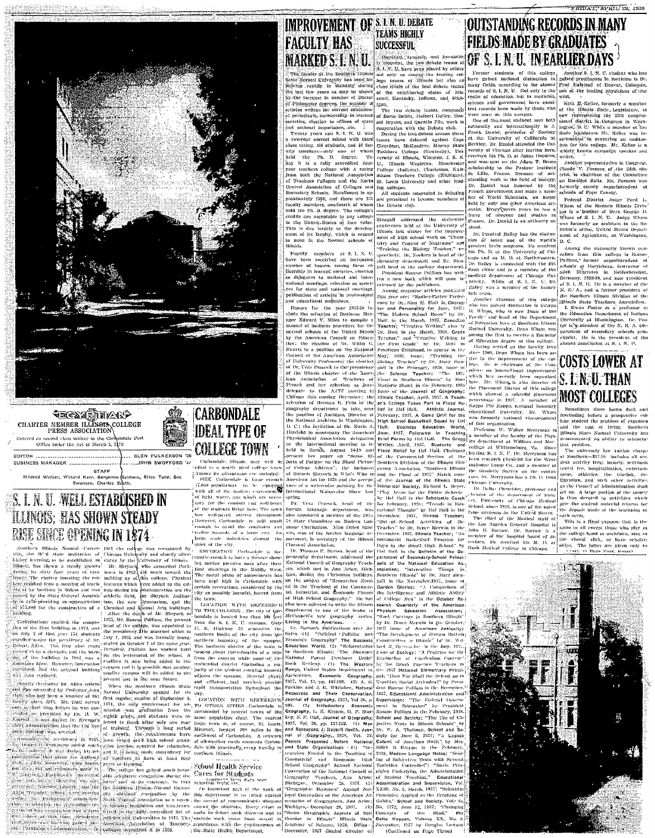



**IMPROVEMENT OF S. L. N. U. DEBATE**<br>**FACULTY HAS** SUCCESSFUL **MARKED S. I. N. U.** 

last few years as may be shown

**EXAMPLE SET AND SOLUTION AND SOLUTION AND SET AND SET AND SET AND SET AND SET AND SET AND SET AND SET AND SET AND SET AND SET AND SET AND SET AND SET AND SET AND SET AND SET AND SET AND SET AND SET AND SET AND SET AND SET** 

**OUTSTANDING RECORDS IN MANY** TEAMS HIGHLY<br>
SUCCESSFUL<br>
FIELDS MADE BY GRADUATES<br>
OF S. I. N. U. IN EARLIER DAYS

TRIDAY, APRIL 29, 1938

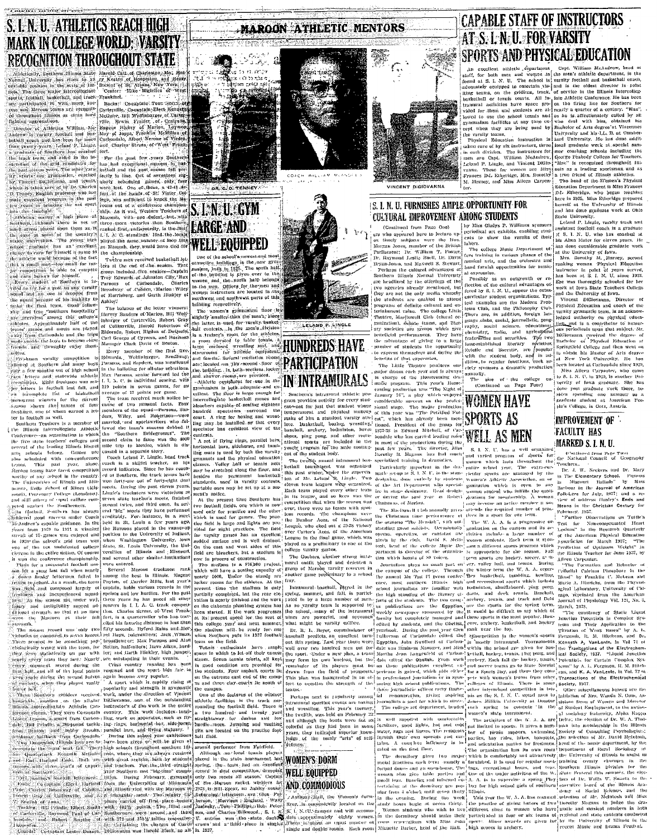# S. I. N. U. ATHLETICS REACH HIGH **MARK IN COLLEGE WORLD: VARSITY RECOGNITION THROUGHOUT STATE**

basketball, and truck tosted in with much suctennis ara recogniz

**Alberties William** football and P. Thield

there is not as sheed mon them as 1 The country The volume life

simately half ments are blayed **iondale** and the

compétitie vərsity Southern and many boys months out of high school statewide athletic anis. Tenebungu one of whom earned a it Toutball as well.

...<br>... Teachers is a Internallogiate Athletic negation to which ing Illinois liberal eauing names mer<br>belong, – Games - a<br>- with - non-conferen chave faced competition seboot in the country and Min

success under Coach enable enidance. In the 1931 a winning en inverl - 800 entire nation. Of courssfat football se

last fall when nearly fulled it tellemen menti silve tutt nd incligibility sapped ad-<br>Frength, so that at no time at their fall

and and with the team illy on par with team they Noorly, un ducing the of the local points nd halves

all-slar mittiu Athistic Conyere Comptain

**Cotheville** Elbert Smills

-Frankfort.

Booker: :Pomphfaire Tour Schill Carterville, Co-cantain, Elect. Kennet

in de la facta de la i salvadal.  $-42.41...6$ 73 shiji. As it was, Western Macomb, with one defeat three more victories than made a substantially followedly ar syr amasyn **Hed the lo** 

chamnionship Twelve men received basketball Je ะแจะอนละ<br>- ตกหรือเห of Harrisburg, and Garth Hinkley o

**Nahlov?** .<br>The Invey Sanders of Marion, Bill inharger of Carterville, Robert Gra of Collinsville, Harold Re as Diedon of Dofford and Davi of Bourne age Every member of the first five

a verano

-arecor - azu<br>Parsons, Sai and in a consumie.

the Maroons placed in methion to State, St. Louis **Illinois** 

muong the best in Hlinois of Carrier Mills, last year Pavton cantain holds various rea guartermil elled his favorite dis fifty seconds.

resumed

asinsky, Pon son, and Charles Silkwood. S. U. cutries won 'suid a' Hiếd cu

## **MAROON ATHLETIC MENTORS**

LELAND P. LINGL

**HUNDREDS HAVE** 

IN INTRAMURALS

cram provides activity for every

temperament and

yearly trogram for

ent of the student body

cleven team beaches

**Contents** 

unrat.

The Goobers, another

what might be varsity

at this spring.

the sport, Ginder a

wrestling.

**WOMEN'S DORM** 

**WELL EQUIPPED** 

fate : approximately

There is object on

ingle and double rooms.

AND COMMODIOUS

Anthony High, the Women's

Rroy, is conveniently located on the

L N. (U. cumpus and will necons

colorful as they had been in

pars, they indicated superb<br>edge of the manly "arts"

the twelfth, w

well over

teans.

rears,<br>ludge<br>defence

Captai

 $\frac{1}{2}$ tha satuta doubles

group of Maroon varsity research

Intrammal baseball, Blayed

Loughly school closel out of 23-28 victors

outfit played and defeated a

and fall.

varsity reserves

**PARTICIPATION** 



DR. C. D. TENNEY

# S.I.N.U.GYM **LARGE AND WELL FOUIPPED**

The smith comen instructors are located included and monantinate.

used, for varsity bask .<br>slline سىسى<br>مائەتلىنى

oms for amene equi<br>wels... Several recibition<br>aded om thy second fi both adequate and

boths and write (simple-andreu and phase are mover of the scheduled as that versel level in the state of this according versifies. (a) and the distribution of the base sping posts of the base and other versel in the state has excellent

basketball nocument contests he set up at a mo

for games field is large and lights are sight, practices. The field s has an excellent destood

capacity of stands  $A1$  the progresses nrosent sneed for the ar and next summer, will, he

Seven tennis courts, all kep coudition are provided to Four asphalt courts lie stend of the comp

dacillies is the track sur panding the football field. There<sup>4</sup> hundred and twenty<br>way for dashes and yart  $163$ Junning and located on the practice foot ball field

agh .no./ local - tennis - playe heed in the state bournament lu the ... team . had diral competition, droppint



## IS L.N. U. FURNISHES AMPLE OPPORTUNITY FOR **CULTURAL IMPROVEMENT AMONG STUDENTS**

ava<br>The 

musical arts, and the

Possibly as an

cular student

ems Clab, and the

social

with the student

al expression.

band furnish opportunities for music

closing as an outpress of the cultural substitutes of

eton of the children arranged to

abilie codal formulistic gent

body,

(Continued on Page Four)

1. X. C. has a

sports

functions.

The

tumbling

shuffleboard, ping pong

cereational sports which includ

archery, laskelball, and hockey

these sports is the mos

The activities of the

مرزة المر

edneatíon

ambulton

Tyo two

ach st

The

**Fall** 

Breated

track and field

nis, i hig pong, and

teauts

ste 'in th

swinning.

outmouth

he appeared here to lecture the Hot of the Britist **Montes**  $\overline{11}$ Stewart .<br>Perhaps the cultural advantages of

Southern Winnis Normal University are beadlined by the offerings of the **Streets Contaction** with which civ-They

ente suemans a dramatic productio annally ento **WOMEN HAVE** sansiderable sur on the profe sional stage major rroductio The Peretical 1 **SPORTS AS** is Edward Mitchell **WELL AS MEN** bondale who has carried leading roles in most of the or ductions during the director. Miss has bed oned.

Metn-

Journalism plays no small mat Mu Tan Pi

Egypt .<br>antetely managed and and the Obelisk.

the past year Gio eask near the fan aspiring remuneration, giving milists a enal for which to striv James Millikin University at Decatur

art demartment, licades and although the boats were not

armiture, good lights, hot and com<br>water, rags and lineus. The resident ceads and ca infirmary is to on the first floor.

dormBury spendiouse, The

and containing the sevent thirty. The practice of giving batters of two porter Magnus to judge<br>http://www.bagine.at.sevent thirty. The practice of giving batters of two porter Magnus to judge In the dermitory should make their participated in four or six teams of regional and state contexts conducted

# **CAPABLE STAFF OF INSTRUCTORS AT S. I. N. U. FOR VARSITY SPORTS AND PHYSICAL EDUCATION**

An experience at a distribution of the contract of the second state of the men<br>staff, for both men and wedged is the men<br>found at S. I. N. U. The school is varsity Capt. William McAndrow, head edequately continued to ca ertain vis- and is the oldest direct<br>ron, track, of service in the Illinois aragaining can the swidings, track. iting teams,<br>basketball or<br>tramural acti<br>vided for the tourie, courts. All in into Athletic Conference. He has been . w. tunus 000<br>astivitiae bata annen men on the firing line for Southern for s have space pro-<br>nd students are al-<br>school tenuis and<br>tes at any time exvided for them and<br>lowed to use the se at months a quarter of a century evamasium facilities ent when they are being tourns.

**Jostmetian** is raturation instruction is<br>
of by six instructors, three<br>
risken. The Instructors for<br>
Capt. William MeAndrew, men are Capi, William MeAndrew,<br>Lekand P. Lingle, and Vincent DiGiovanua. Those for women are Miss<br>Frances D-L Etherlage, Mrs. Dorothy

M. Muzzey, and Miss Alleen Carpon treation Department is Miss F. ouwersen mer.<br>D. L. - Wilsonidum here in 1925. Miss Etheridge .c in Aves, mass isances<br>endC of the Thileandis

Leland P. Lingle, varsit; hy Miss Gladys P. Williams sronso ssistant football enach is a stadual neriodical art exhibits, enabling stud S. I. N. U. who has coached a ents to show the results of their

ional graduate

its Alma Mator for eleven years considerable grad M. Muzzey, second Physical Education

 $\overline{a}$ 

**Tainstatu** 

astractor in point of years served has been at S. J. N. H. since 1928. She was thoroughly schooled for he work of Down State Toughove Culture awa ut was<br>ml the Huiv

ursity gymnastic team, is an ackn ledged authority on physical liot) **University** ed at Carbondale since 1929 versity of Iowa graduate. She<br>dote post graduate work ther<br>sides spending one summer<br>graduate student at American<br>ple's College, in Octz, Austría.

**IMPROVEMENT OF FACULTY HAS** MARKED S. I. N. U.

C'entime-d'from Page Twee<br>| National Conneil of Geogra comen which lasts throughout the extraveur

Teachers..<br>Dr. J. W. Neckers and Dr. Mary The Elementary School-Missouri **Battads** at is: ment of the common the factor of the Barbour in the Journal of American<br>Enik-Lore for July, 1957: and a re- $1937$ ; and  $\mu$  :<br>uxiev's **Ends** a February, 1957

"Further Observations on Tuttle? Fuel for Non-componented Heart<br>Trasfons" in the Research Quarterly<br>of the American Physical Education<br>Association for Narch 1937; "The<br>Prediction of Optimum Weight" in the Illinois Teacher for June 1957, by Alleen Carpenter,

Formation and Behavior Collothal Calcinar Phosphate od" by Pranklin (", McLean and<br>de A, Hiarichs, from the Physiological eago, Teprinted Irom the American<br>Journal of Physiology Vôl. 121, No. 3, March, 1938.

"The constancy of Static Liona Inc. considers of state.

Konneth A. VanLente. I ical Society, 1937. "Limit Junction 

cialifation of Mrs. Wanda N. Guin, As .<br>gstant Dean of Women and Director **Seattles** aerment by the heard of the Hitnois Ac uit Alist

recent Music and Drama Festival.

**WINCENT DIGIOVANNA** 

dition, to regular  $\alpha$  -sector ent-and for just that student whose physical makeup

Particularly

organized

stage. .<br>done entirely by students

entire school year. rieular